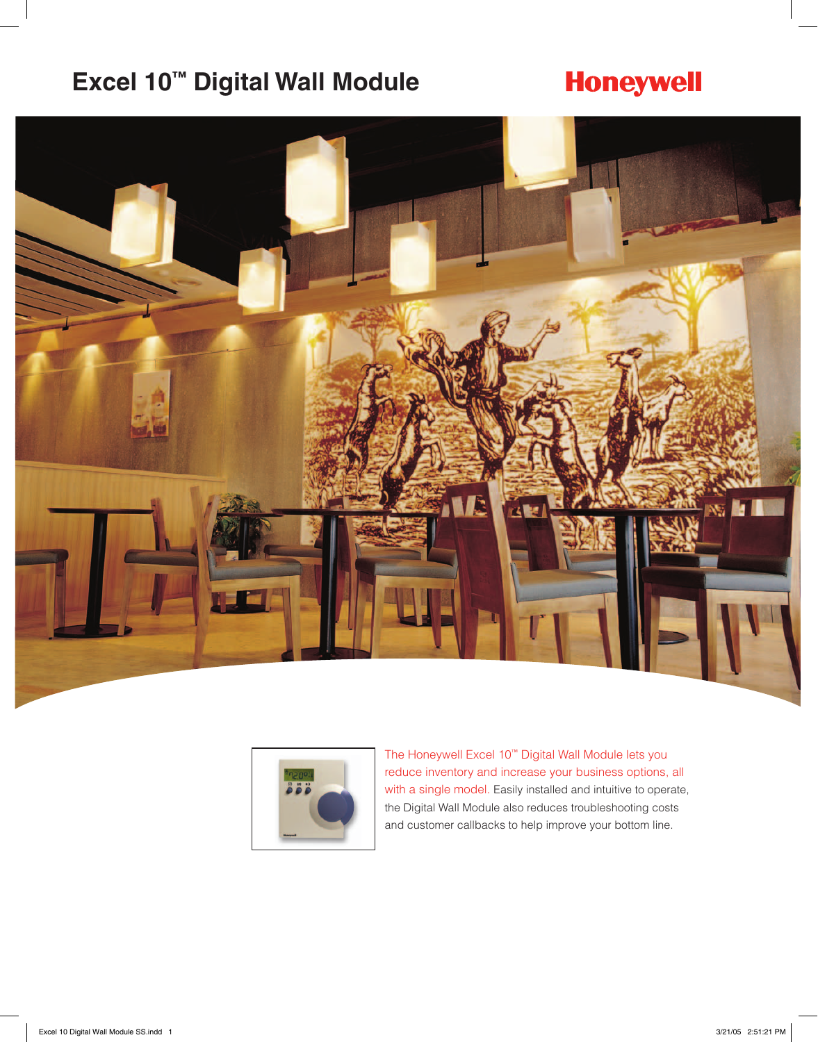# **Excel 10™ Digital Wall Module**

# **Honeywell**





The Honeywell Excel 10™ Digital Wall Module lets you reduce inventory and increase your business options, all with a single model. Easily installed and intuitive to operate, the Digital Wall Module also reduces troubleshooting costs and customer callbacks to help improve your bottom line.